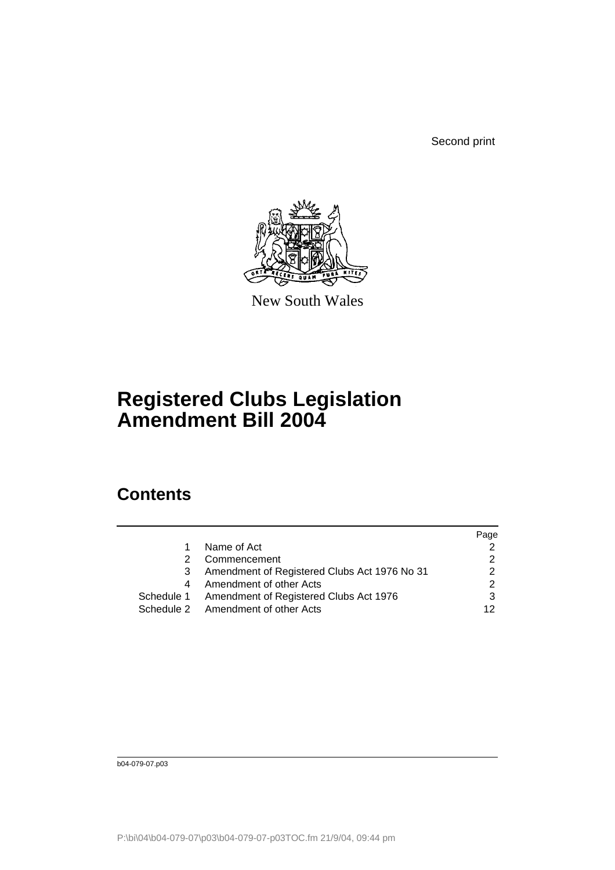Second print



New South Wales

# **Registered Clubs Legislation Amendment Bill 2004**

### **Contents**

|   |                                                   | Page |
|---|---------------------------------------------------|------|
|   | Name of Act                                       |      |
| 2 | Commencement                                      |      |
|   | Amendment of Registered Clubs Act 1976 No 31      |      |
|   | Amendment of other Acts                           |      |
|   | Schedule 1 Amendment of Registered Clubs Act 1976 |      |
|   | Schedule 2 Amendment of other Acts                | 12   |
|   |                                                   |      |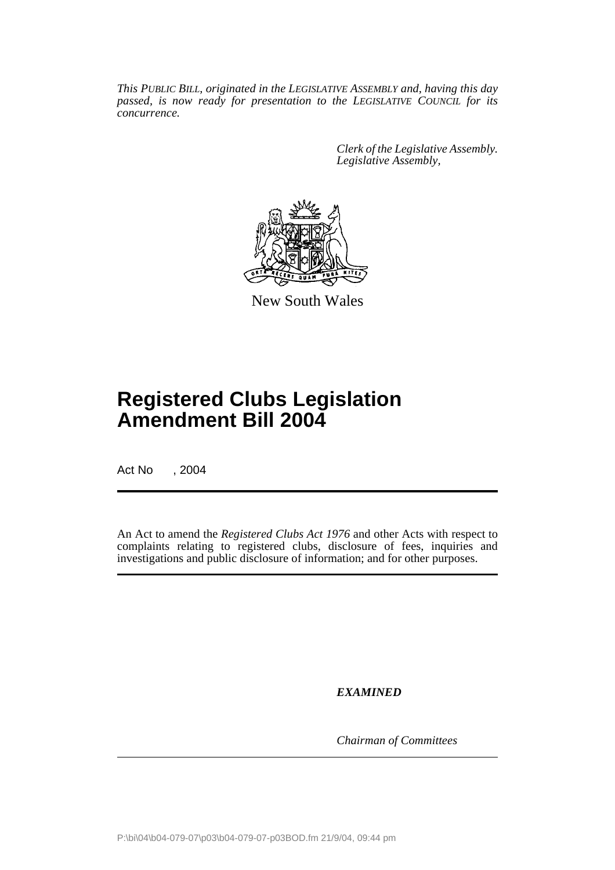*This PUBLIC BILL, originated in the LEGISLATIVE ASSEMBLY and, having this day passed, is now ready for presentation to the LEGISLATIVE COUNCIL for its concurrence.*

> *Clerk of the Legislative Assembly. Legislative Assembly,*



New South Wales

## **Registered Clubs Legislation Amendment Bill 2004**

Act No , 2004

An Act to amend the *Registered Clubs Act 1976* and other Acts with respect to complaints relating to registered clubs, disclosure of fees, inquiries and investigations and public disclosure of information; and for other purposes.

*EXAMINED*

*Chairman of Committees*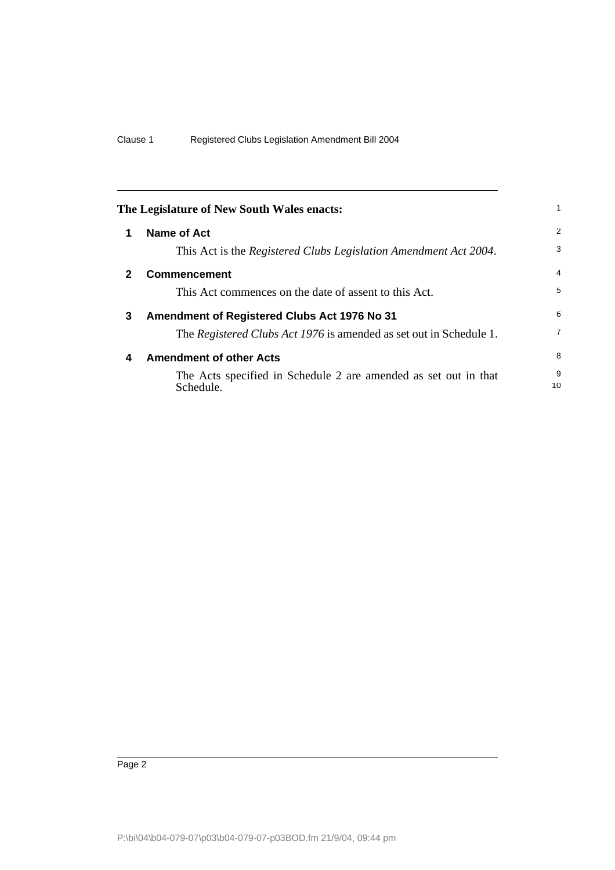|   | The Legislature of New South Wales enacts:                                   |                |
|---|------------------------------------------------------------------------------|----------------|
| 1 | <b>Name of Act</b>                                                           | 2              |
|   | This Act is the Registered Clubs Legislation Amendment Act 2004.             | 3              |
| 2 | <b>Commencement</b>                                                          | $\overline{4}$ |
|   | This Act commences on the date of assent to this Act.                        | 5              |
| 3 | Amendment of Registered Clubs Act 1976 No 31                                 | 6              |
|   | The Registered Clubs Act 1976 is amended as set out in Schedule 1.           | $\overline{7}$ |
| 4 | <b>Amendment of other Acts</b>                                               | 8              |
|   | The Acts specified in Schedule 2 are amended as set out in that<br>Schedule. | 9<br>10        |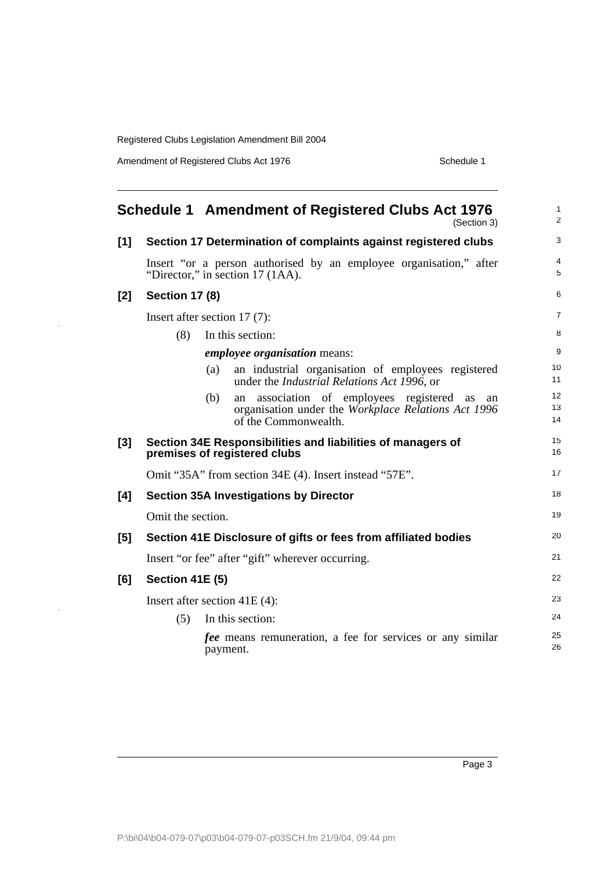Amendment of Registered Clubs Act 1976 Schedule 1

 $\overline{a}$ 

|     |                        | <b>Schedule 1 Amendment of Registered Clubs Act 1976</b><br>(Section 3)                                  | $\mathbf{1}$<br>2   |
|-----|------------------------|----------------------------------------------------------------------------------------------------------|---------------------|
| [1] |                        | Section 17 Determination of complaints against registered clubs                                          | 3                   |
|     |                        | Insert "or a person authorised by an employee organisation," after<br>"Director," in section 17 (1AA).   | $\overline{4}$<br>5 |
| [2] | <b>Section 17 (8)</b>  |                                                                                                          | 6                   |
|     |                        | Insert after section $17(7)$ :                                                                           | $\overline{7}$      |
|     | (8)                    | In this section:                                                                                         | 8                   |
|     |                        | <i>employee organisation</i> means:                                                                      | 9                   |
|     |                        | an industrial organisation of employees registered<br>(a)<br>under the Industrial Relations Act 1996, or | 10<br>11            |
|     |                        | association of employees registered<br>(b)<br>an<br>as<br>an                                             | 12                  |
|     |                        | organisation under the Workplace Relations Act 1996<br>of the Commonwealth.                              | 13<br>14            |
| [3] |                        | Section 34E Responsibilities and liabilities of managers of<br>premises of registered clubs              | 15<br>16            |
|     |                        | Omit "35A" from section 34E (4). Insert instead "57E".                                                   | 17                  |
| [4] |                        | <b>Section 35A Investigations by Director</b>                                                            | 18                  |
|     | Omit the section.      |                                                                                                          | 19                  |
| [5] |                        | Section 41E Disclosure of gifts or fees from affiliated bodies                                           | 20                  |
|     |                        | Insert "or fee" after "gift" wherever occurring.                                                         | 21                  |
| [6] | <b>Section 41E (5)</b> |                                                                                                          | 22                  |
|     |                        | Insert after section $41E(4)$ :                                                                          | 23                  |
|     | (5)                    | In this section:                                                                                         | 24                  |
|     |                        | <i>fee</i> means remuneration, a fee for services or any similar<br>payment.                             | 25<br>26            |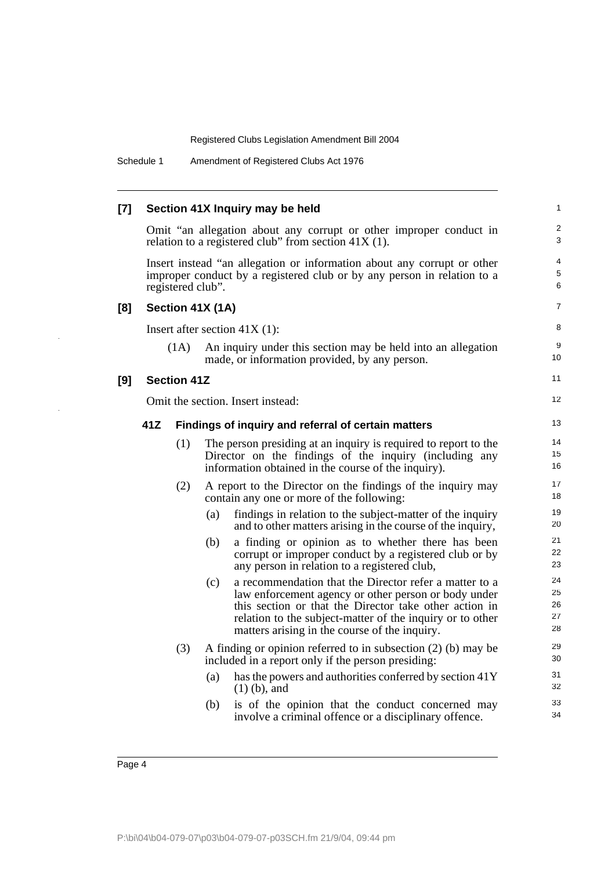Schedule 1 Amendment of Registered Clubs Act 1976

| $[7]$ |     |                    |                  | Section 41X Inquiry may be held                                                                                                                                                                                                                                                        | 1                          |
|-------|-----|--------------------|------------------|----------------------------------------------------------------------------------------------------------------------------------------------------------------------------------------------------------------------------------------------------------------------------------------|----------------------------|
|       |     |                    |                  | Omit "an allegation about any corrupt or other improper conduct in<br>relation to a registered club" from section $41X(1)$ .                                                                                                                                                           | $\overline{c}$<br>3        |
|       |     | registered club".  |                  | Insert instead "an allegation or information about any corrupt or other<br>improper conduct by a registered club or by any person in relation to a                                                                                                                                     | 4<br>5<br>6                |
| [8]   |     |                    | Section 41X (1A) |                                                                                                                                                                                                                                                                                        | $\overline{7}$             |
|       |     |                    |                  | Insert after section $41X(1)$ :                                                                                                                                                                                                                                                        | 8                          |
|       |     | (1A)               |                  | An inquiry under this section may be held into an allegation<br>made, or information provided, by any person.                                                                                                                                                                          | 9<br>10                    |
| [9]   |     | <b>Section 41Z</b> |                  |                                                                                                                                                                                                                                                                                        | 11                         |
|       |     |                    |                  | Omit the section. Insert instead:                                                                                                                                                                                                                                                      | 12                         |
|       | 41Z |                    |                  | Findings of inquiry and referral of certain matters                                                                                                                                                                                                                                    | 13                         |
|       |     | (1)                |                  | The person presiding at an inquiry is required to report to the<br>Director on the findings of the inquiry (including any<br>information obtained in the course of the inquiry).                                                                                                       | 14<br>15<br>16             |
|       |     | (2)                |                  | A report to the Director on the findings of the inquiry may<br>contain any one or more of the following:                                                                                                                                                                               | 17<br>18                   |
|       |     |                    | (a)              | findings in relation to the subject-matter of the inquiry<br>and to other matters arising in the course of the inquiry,                                                                                                                                                                | 19<br>20                   |
|       |     |                    | (b)              | a finding or opinion as to whether there has been<br>corrupt or improper conduct by a registered club or by<br>any person in relation to a registered club,                                                                                                                            | 21<br>22<br>23             |
|       |     |                    | (c)              | a recommendation that the Director refer a matter to a<br>law enforcement agency or other person or body under<br>this section or that the Director take other action in<br>relation to the subject-matter of the inquiry or to other<br>matters arising in the course of the inquiry. | 24<br>25<br>26<br>27<br>28 |
|       |     | (3)                |                  | A finding or opinion referred to in subsection $(2)$ (b) may be<br>included in a report only if the person presiding:                                                                                                                                                                  | 29<br>30                   |
|       |     |                    | (a)              | has the powers and authorities conferred by section 41Y<br>$(1)$ (b), and                                                                                                                                                                                                              | 31<br>32                   |
|       |     |                    | (b)              | is of the opinion that the conduct concerned may<br>involve a criminal offence or a disciplinary offence.                                                                                                                                                                              | 33<br>34                   |
|       |     |                    |                  |                                                                                                                                                                                                                                                                                        |                            |

l,

 $\ddot{\phantom{1}}$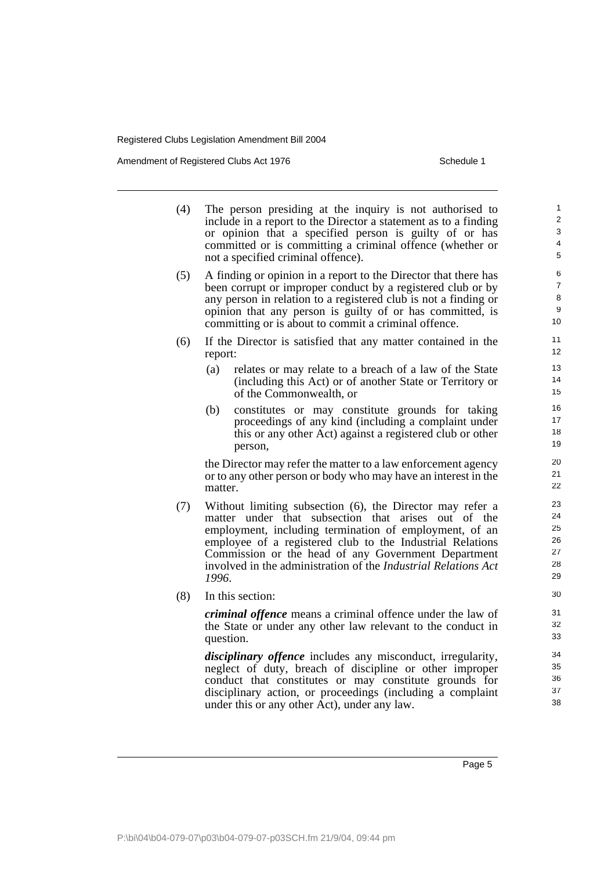Amendment of Registered Clubs Act 1976 Schedule 1

- (4) The person presiding at the inquiry is not authorised to include in a report to the Director a statement as to a finding or opinion that a specified person is guilty of or has committed or is committing a criminal offence (whether or not a specified criminal offence).
- (5) A finding or opinion in a report to the Director that there has been corrupt or improper conduct by a registered club or by any person in relation to a registered club is not a finding or opinion that any person is guilty of or has committed, is committing or is about to commit a criminal offence.
- (6) If the Director is satisfied that any matter contained in the report:
	- (a) relates or may relate to a breach of a law of the State (including this Act) or of another State or Territory or of the Commonwealth, or
	- (b) constitutes or may constitute grounds for taking proceedings of any kind (including a complaint under this or any other Act) against a registered club or other person,

the Director may refer the matter to a law enforcement agency or to any other person or body who may have an interest in the matter.

- (7) Without limiting subsection (6), the Director may refer a matter under that subsection that arises out of the employment, including termination of employment, of an employee of a registered club to the Industrial Relations Commission or the head of any Government Department involved in the administration of the *Industrial Relations Act 1996*.
- (8) In this section:

*criminal offence* means a criminal offence under the law of the State or under any other law relevant to the conduct in question.

*disciplinary offence* includes any misconduct, irregularity, neglect of duty, breach of discipline or other improper conduct that constitutes or may constitute grounds for disciplinary action, or proceedings (including a complaint under this or any other Act), under any law.

Page 5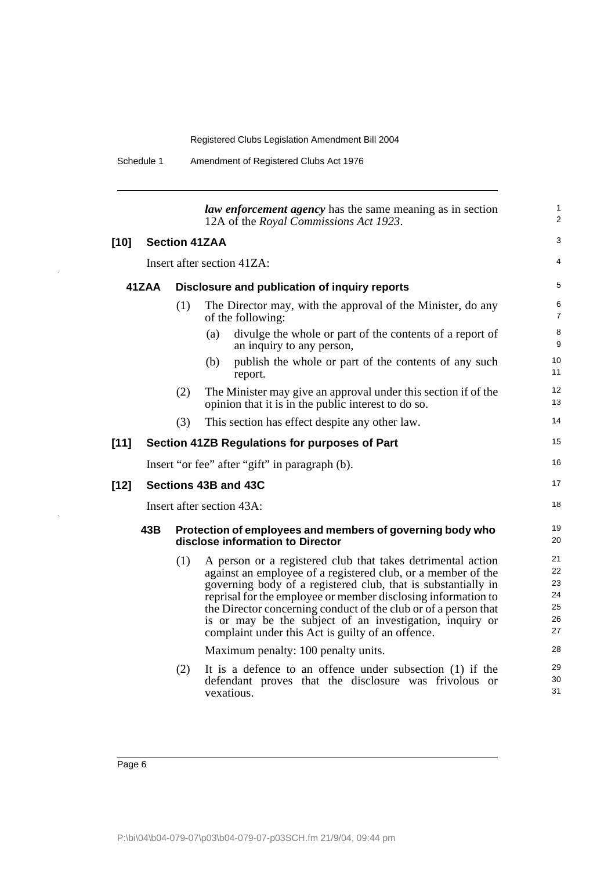| Schedule 1<br>Amendment of Registered Clubs Act 1976 |  |
|------------------------------------------------------|--|
|------------------------------------------------------|--|

|        |     |                      | <i>law enforcement agency</i> has the same meaning as in section<br>12A of the Royal Commissions Act 1923.                                                                                                                                                                                                                                                                                                                                        | 1<br>2                                 |
|--------|-----|----------------------|---------------------------------------------------------------------------------------------------------------------------------------------------------------------------------------------------------------------------------------------------------------------------------------------------------------------------------------------------------------------------------------------------------------------------------------------------|----------------------------------------|
| $[10]$ |     | <b>Section 41ZAA</b> |                                                                                                                                                                                                                                                                                                                                                                                                                                                   | 3                                      |
|        |     |                      | Insert after section 41ZA:                                                                                                                                                                                                                                                                                                                                                                                                                        | 4                                      |
| 41ZAA  |     |                      | Disclosure and publication of inquiry reports                                                                                                                                                                                                                                                                                                                                                                                                     | 5                                      |
|        |     | (1)                  | The Director may, with the approval of the Minister, do any<br>of the following:                                                                                                                                                                                                                                                                                                                                                                  | 6<br>$\overline{7}$                    |
|        |     |                      | divulge the whole or part of the contents of a report of<br>(a)<br>an inquiry to any person,                                                                                                                                                                                                                                                                                                                                                      | 8<br>9                                 |
|        |     |                      | publish the whole or part of the contents of any such<br>(b)<br>report.                                                                                                                                                                                                                                                                                                                                                                           | 10<br>11                               |
|        |     | (2)                  | The Minister may give an approval under this section if of the<br>opinion that it is in the public interest to do so.                                                                                                                                                                                                                                                                                                                             | 12<br>13                               |
|        |     | (3)                  | This section has effect despite any other law.                                                                                                                                                                                                                                                                                                                                                                                                    | 14                                     |
| [11]   |     |                      | Section 41ZB Regulations for purposes of Part                                                                                                                                                                                                                                                                                                                                                                                                     | 15                                     |
|        |     |                      | Insert "or fee" after "gift" in paragraph (b).                                                                                                                                                                                                                                                                                                                                                                                                    | 16                                     |
| $[12]$ |     |                      | Sections 43B and 43C                                                                                                                                                                                                                                                                                                                                                                                                                              | 17                                     |
|        |     |                      | Insert after section 43A:                                                                                                                                                                                                                                                                                                                                                                                                                         | 18                                     |
|        | 43B |                      | Protection of employees and members of governing body who<br>disclose information to Director                                                                                                                                                                                                                                                                                                                                                     | 19<br>20                               |
|        |     | (1)                  | A person or a registered club that takes detrimental action<br>against an employee of a registered club, or a member of the<br>governing body of a registered club, that is substantially in<br>reprisal for the employee or member disclosing information to<br>the Director concerning conduct of the club or of a person that<br>is or may be the subject of an investigation, inquiry or<br>complaint under this Act is guilty of an offence. | 21<br>22<br>23<br>24<br>25<br>26<br>27 |
|        |     |                      | Maximum penalty: 100 penalty units.                                                                                                                                                                                                                                                                                                                                                                                                               | 28                                     |
|        |     | (2)                  | It is a defence to an offence under subsection (1) if the<br>defendant proves that the disclosure was frivolous or<br>vexatious.                                                                                                                                                                                                                                                                                                                  | 29<br>30<br>31                         |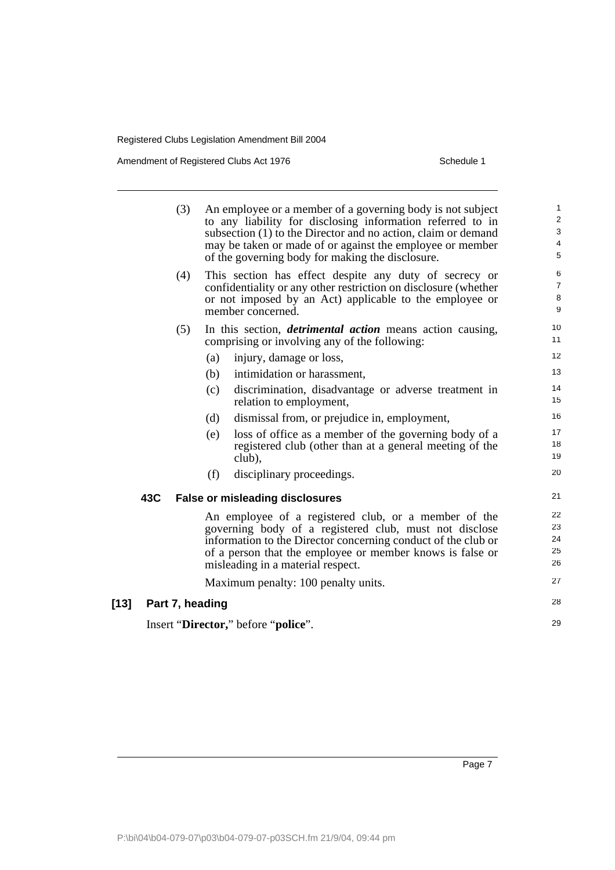Amendment of Registered Clubs Act 1976 Schedule 1

 $[13]$ 

| (3)             | An employee or a member of a governing body is not subject<br>to any liability for disclosing information referred to in<br>subsection (1) to the Director and no action, claim or demand<br>may be taken or made of or against the employee or member<br>of the governing body for making the disclosure. | 1<br>$\overline{\mathbf{c}}$<br>3<br>4<br>5 |
|-----------------|------------------------------------------------------------------------------------------------------------------------------------------------------------------------------------------------------------------------------------------------------------------------------------------------------------|---------------------------------------------|
| (4)             | This section has effect despite any duty of secrecy or<br>confidentiality or any other restriction on disclosure (whether<br>or not imposed by an Act) applicable to the employee or<br>member concerned.                                                                                                  | 6<br>$\overline{7}$<br>8<br>9               |
| (5)             | In this section, <i>detrimental action</i> means action causing,<br>comprising or involving any of the following:<br>(a)<br>injury, damage or loss,                                                                                                                                                        | 10<br>11<br>12                              |
|                 | (b)<br>intimidation or harassment,                                                                                                                                                                                                                                                                         | 13                                          |
|                 | (c)<br>discrimination, disadvantage or adverse treatment in<br>relation to employment,                                                                                                                                                                                                                     | 14<br>15                                    |
|                 | dismissal from, or prejudice in, employment,<br>(d)                                                                                                                                                                                                                                                        | 16                                          |
|                 | (e)<br>loss of office as a member of the governing body of a<br>registered club (other than at a general meeting of the<br>club),                                                                                                                                                                          | 17<br>18<br>19                              |
|                 | disciplinary proceedings.<br>(f)                                                                                                                                                                                                                                                                           | 20                                          |
| 43C             | <b>False or misleading disclosures</b>                                                                                                                                                                                                                                                                     | 21                                          |
|                 | An employee of a registered club, or a member of the<br>governing body of a registered club, must not disclose<br>information to the Director concerning conduct of the club or<br>of a person that the employee or member knows is false or<br>misleading in a material respect.                          | 22<br>23<br>24<br>25<br>26                  |
|                 | Maximum penalty: 100 penalty units.                                                                                                                                                                                                                                                                        | 27                                          |
| Part 7, heading |                                                                                                                                                                                                                                                                                                            | 28                                          |
|                 | Insert "Director," before "police".                                                                                                                                                                                                                                                                        | 29                                          |
|                 |                                                                                                                                                                                                                                                                                                            |                                             |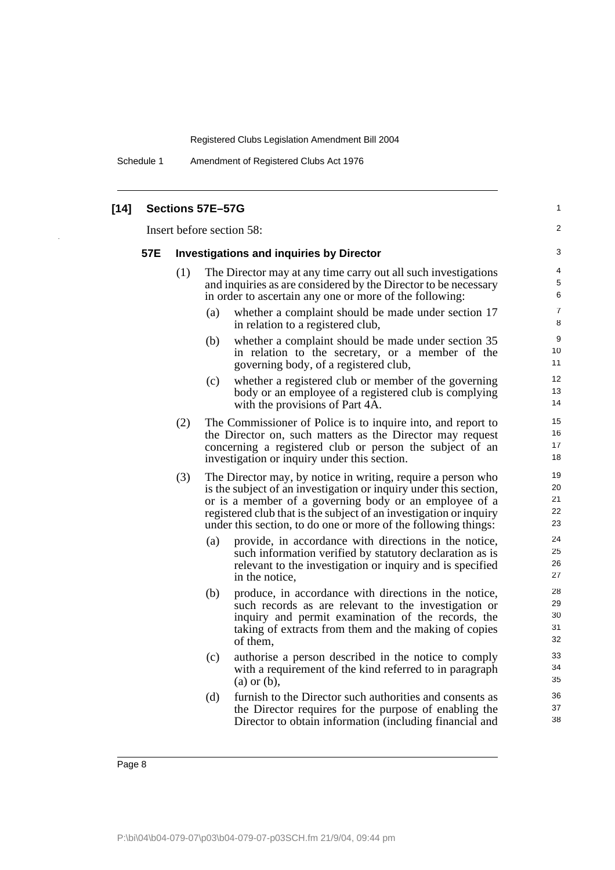Schedule 1 Amendment of Registered Clubs Act 1976

| $[14]$ |                                                                                                                                                                                                                                                                                                                                                                                                                                                                                                                                     |                            | Sections 57E-57G                                                                                                                                                                                                                                           | 1                          |  |  |
|--------|-------------------------------------------------------------------------------------------------------------------------------------------------------------------------------------------------------------------------------------------------------------------------------------------------------------------------------------------------------------------------------------------------------------------------------------------------------------------------------------------------------------------------------------|----------------------------|------------------------------------------------------------------------------------------------------------------------------------------------------------------------------------------------------------------------------------------------------------|----------------------------|--|--|
|        |                                                                                                                                                                                                                                                                                                                                                                                                                                                                                                                                     | Insert before section 58:  |                                                                                                                                                                                                                                                            |                            |  |  |
|        | 57E                                                                                                                                                                                                                                                                                                                                                                                                                                                                                                                                 |                            | <b>Investigations and inquiries by Director</b>                                                                                                                                                                                                            | 3                          |  |  |
|        |                                                                                                                                                                                                                                                                                                                                                                                                                                                                                                                                     | (1)                        | The Director may at any time carry out all such investigations<br>and inquiries as are considered by the Director to be necessary<br>in order to ascertain any one or more of the following:<br>whether a complaint should be made under section 17<br>(a) | 4<br>5<br>6<br>7<br>8      |  |  |
|        |                                                                                                                                                                                                                                                                                                                                                                                                                                                                                                                                     |                            | in relation to a registered club,<br>(b)<br>whether a complaint should be made under section 35<br>in relation to the secretary, or a member of the<br>governing body, of a registered club,                                                               | 9<br>10<br>11              |  |  |
|        |                                                                                                                                                                                                                                                                                                                                                                                                                                                                                                                                     |                            | whether a registered club or member of the governing<br>(c)<br>body or an employee of a registered club is complying<br>with the provisions of Part 4A.                                                                                                    | 12<br>13<br>14             |  |  |
|        |                                                                                                                                                                                                                                                                                                                                                                                                                                                                                                                                     | (2)                        | The Commissioner of Police is to inquire into, and report to<br>the Director on, such matters as the Director may request<br>concerning a registered club or person the subject of an<br>investigation or inquiry under this section.                      | 15<br>16<br>17<br>18       |  |  |
|        | (3)<br>The Director may, by notice in writing, require a person who<br>is the subject of an investigation or inquiry under this section,<br>or is a member of a governing body or an employee of a<br>registered club that is the subject of an investigation or inquiry<br>under this section, to do one or more of the following things:<br>provide, in accordance with directions in the notice,<br>(a)<br>such information verified by statutory declaration as is<br>relevant to the investigation or inquiry and is specified | 19<br>20<br>21<br>22<br>23 |                                                                                                                                                                                                                                                            |                            |  |  |
|        |                                                                                                                                                                                                                                                                                                                                                                                                                                                                                                                                     | in the notice,             | 24<br>25<br>26<br>27                                                                                                                                                                                                                                       |                            |  |  |
|        |                                                                                                                                                                                                                                                                                                                                                                                                                                                                                                                                     |                            | (b)<br>produce, in accordance with directions in the notice,<br>such records as are relevant to the investigation or<br>inquiry and permit examination of the records, the<br>taking of extracts from them and the making of copies<br>of them.            | 28<br>29<br>30<br>31<br>32 |  |  |
|        |                                                                                                                                                                                                                                                                                                                                                                                                                                                                                                                                     |                            | (c)<br>authorise a person described in the notice to comply<br>with a requirement of the kind referred to in paragraph<br>$(a)$ or $(b)$ ,                                                                                                                 | 33<br>34<br>35             |  |  |
|        |                                                                                                                                                                                                                                                                                                                                                                                                                                                                                                                                     |                            | (d)<br>furnish to the Director such authorities and consents as<br>the Director requires for the purpose of enabling the<br>Director to obtain information (including financial and                                                                        | 36<br>37<br>38             |  |  |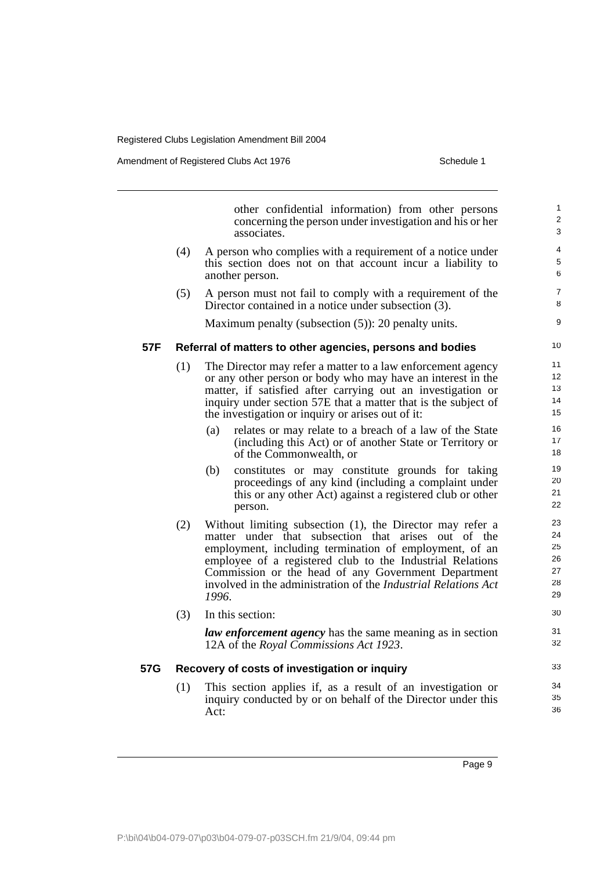Amendment of Registered Clubs Act 1976 Schedule 1

|     |     | other confidential information) from other persons<br>concerning the person under investigation and his or her<br>associates.                                                                                                                                                                                                                                                    | $\mathbf{1}$<br>2<br>3                 |
|-----|-----|----------------------------------------------------------------------------------------------------------------------------------------------------------------------------------------------------------------------------------------------------------------------------------------------------------------------------------------------------------------------------------|----------------------------------------|
|     | (4) | A person who complies with a requirement of a notice under<br>this section does not on that account incur a liability to<br>another person.                                                                                                                                                                                                                                      | 4<br>5<br>6                            |
|     | (5) | A person must not fail to comply with a requirement of the<br>Director contained in a notice under subsection (3).                                                                                                                                                                                                                                                               | $\overline{7}$<br>8                    |
|     |     | Maximum penalty (subsection (5)): 20 penalty units.                                                                                                                                                                                                                                                                                                                              | 9                                      |
| 57F |     | Referral of matters to other agencies, persons and bodies                                                                                                                                                                                                                                                                                                                        | 10                                     |
|     | (1) | The Director may refer a matter to a law enforcement agency<br>or any other person or body who may have an interest in the<br>matter, if satisfied after carrying out an investigation or<br>inquiry under section 57E that a matter that is the subject of<br>the investigation or inquiry or arises out of it:                                                                 | 11<br>12<br>13<br>14<br>15             |
|     |     | relates or may relate to a breach of a law of the State<br>(a)<br>(including this Act) or of another State or Territory or<br>of the Commonwealth, or                                                                                                                                                                                                                            | 16<br>17<br>18                         |
|     |     | constitutes or may constitute grounds for taking<br>(b)<br>proceedings of any kind (including a complaint under<br>this or any other Act) against a registered club or other<br>person.                                                                                                                                                                                          | 19<br>20<br>21<br>22                   |
|     | (2) | Without limiting subsection (1), the Director may refer a<br>matter under that subsection that arises out of the<br>employment, including termination of employment, of an<br>employee of a registered club to the Industrial Relations<br>Commission or the head of any Government Department<br>involved in the administration of the <i>Industrial Relations Act</i><br>1996. | 23<br>24<br>25<br>26<br>27<br>28<br>29 |
|     | (3) | In this section:                                                                                                                                                                                                                                                                                                                                                                 | 30                                     |
|     |     | law enforcement agency has the same meaning as in section<br>12A of the Royal Commissions Act 1923.                                                                                                                                                                                                                                                                              | 31<br>32                               |
| 57G |     | Recovery of costs of investigation or inquiry                                                                                                                                                                                                                                                                                                                                    | 33                                     |
|     | (1) | This section applies if, as a result of an investigation or<br>inquiry conducted by or on behalf of the Director under this<br>Act:                                                                                                                                                                                                                                              | 34<br>35<br>36                         |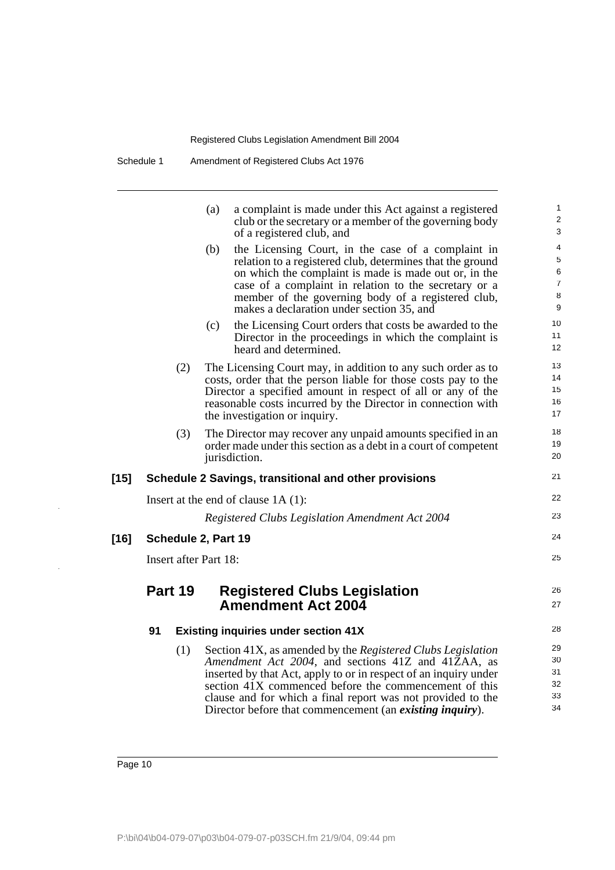| Schedule 1<br>Amendment of Registered Clubs Act 1976 |  |
|------------------------------------------------------|--|
|------------------------------------------------------|--|

|        |    |         | (a)                   | a complaint is made under this Act against a registered<br>club or the secretary or a member of the governing body<br>of a registered club, and                                                                                                                                                                                                                                   | $\mathbf{1}$<br>$\boldsymbol{2}$<br>3             |
|--------|----|---------|-----------------------|-----------------------------------------------------------------------------------------------------------------------------------------------------------------------------------------------------------------------------------------------------------------------------------------------------------------------------------------------------------------------------------|---------------------------------------------------|
|        |    |         | (b)                   | the Licensing Court, in the case of a complaint in<br>relation to a registered club, determines that the ground<br>on which the complaint is made is made out or, in the<br>case of a complaint in relation to the secretary or a<br>member of the governing body of a registered club,<br>makes a declaration under section 35, and                                              | 4<br>$\mathbf 5$<br>6<br>$\overline{7}$<br>8<br>9 |
|        |    |         | (c)                   | the Licensing Court orders that costs be awarded to the<br>Director in the proceedings in which the complaint is<br>heard and determined.                                                                                                                                                                                                                                         | 10<br>11<br>12                                    |
|        |    | (2)     |                       | The Licensing Court may, in addition to any such order as to<br>costs, order that the person liable for those costs pay to the<br>Director a specified amount in respect of all or any of the<br>reasonable costs incurred by the Director in connection with<br>the investigation or inquiry.                                                                                    | 13<br>14<br>15<br>16<br>17                        |
|        |    | (3)     |                       | The Director may recover any unpaid amounts specified in an<br>order made under this section as a debt in a court of competent<br>jurisdiction.                                                                                                                                                                                                                                   | 18<br>19<br>20                                    |
| $[15]$ |    |         |                       | Schedule 2 Savings, transitional and other provisions                                                                                                                                                                                                                                                                                                                             | 21                                                |
|        |    |         |                       | Insert at the end of clause $1A(1)$ :                                                                                                                                                                                                                                                                                                                                             | 22                                                |
|        |    |         |                       | Registered Clubs Legislation Amendment Act 2004                                                                                                                                                                                                                                                                                                                                   | 23                                                |
| $[16]$ |    |         | Schedule 2, Part 19   |                                                                                                                                                                                                                                                                                                                                                                                   | 24                                                |
|        |    |         | Insert after Part 18: |                                                                                                                                                                                                                                                                                                                                                                                   | 25                                                |
|        |    | Part 19 |                       | <b>Registered Clubs Legislation</b><br><b>Amendment Act 2004</b>                                                                                                                                                                                                                                                                                                                  | 26<br>27                                          |
|        | 91 |         |                       | <b>Existing inquiries under section 41X</b>                                                                                                                                                                                                                                                                                                                                       | 28                                                |
|        |    | (1)     |                       | Section 41X, as amended by the Registered Clubs Legislation<br>Amendment Act 2004, and sections 41Z and 41ZAA, as<br>inserted by that Act, apply to or in respect of an inquiry under<br>section 41X commenced before the commencement of this<br>clause and for which a final report was not provided to the<br>Director before that commencement (an <i>existing inquiry</i> ). | 29<br>30<br>31<br>32<br>33<br>34                  |

 $\hat{\boldsymbol{\beta}}$ 

 $\hat{\boldsymbol{\beta}}$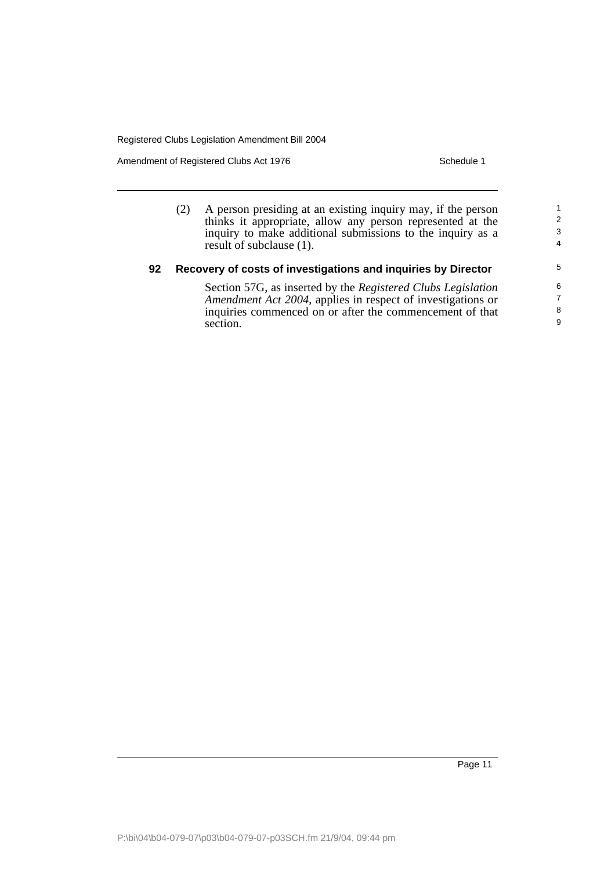Amendment of Registered Clubs Act 1976 Schedule 1

|    | A person presiding at an existing inquiry may, if the person<br>thinks it appropriate, allow any person represented at the<br>inquiry to make additional submissions to the inquiry as a<br>result of subclause (1). | 2<br>3<br>4      |  |  |
|----|----------------------------------------------------------------------------------------------------------------------------------------------------------------------------------------------------------------------|------------------|--|--|
| 92 | Recovery of costs of investigations and inquiries by Director                                                                                                                                                        |                  |  |  |
|    | Section 57G, as inserted by the Registered Clubs Legislation<br>Amendment Act 2004, applies in respect of investigations or<br>inquiries commenced on or after the commencement of that<br>section.                  | 6<br>7<br>8<br>9 |  |  |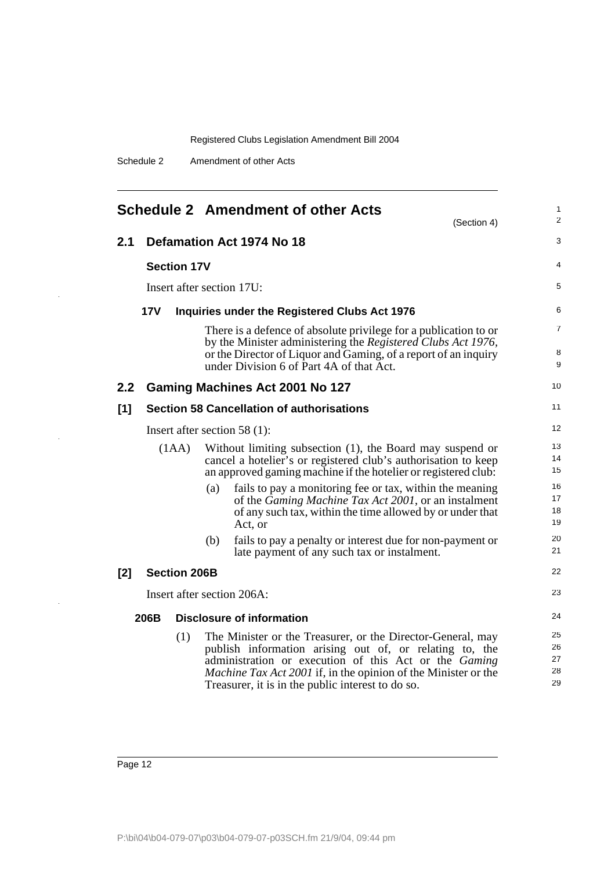|  | Schedule 2 | Amendment of other Acts |
|--|------------|-------------------------|
|--|------------|-------------------------|

|               |                                                                                                                                                                                                        |                     |     | <b>Schedule 2 Amendment of other Acts</b><br>(Section 4)                                                                                                                                                                                                                                                      | 1<br>2                     |
|---------------|--------------------------------------------------------------------------------------------------------------------------------------------------------------------------------------------------------|---------------------|-----|---------------------------------------------------------------------------------------------------------------------------------------------------------------------------------------------------------------------------------------------------------------------------------------------------------------|----------------------------|
| 2.1           |                                                                                                                                                                                                        |                     |     | Defamation Act 1974 No 18                                                                                                                                                                                                                                                                                     | 3                          |
|               | <b>Section 17V</b>                                                                                                                                                                                     |                     |     |                                                                                                                                                                                                                                                                                                               | 4                          |
|               | Insert after section 17U:                                                                                                                                                                              |                     |     |                                                                                                                                                                                                                                                                                                               | 5                          |
|               | <b>17V</b><br>Inquiries under the Registered Clubs Act 1976                                                                                                                                            |                     |     |                                                                                                                                                                                                                                                                                                               |                            |
|               |                                                                                                                                                                                                        |                     |     | There is a defence of absolute privilege for a publication to or<br>by the Minister administering the Registered Clubs Act 1976,<br>or the Director of Liquor and Gaming, of a report of an inquiry<br>under Division 6 of Part 4A of that Act.                                                               | $\overline{7}$<br>8<br>9   |
| $2.2^{\circ}$ |                                                                                                                                                                                                        |                     |     | Gaming Machines Act 2001 No 127                                                                                                                                                                                                                                                                               | 10                         |
| [1]           |                                                                                                                                                                                                        |                     |     | <b>Section 58 Cancellation of authorisations</b>                                                                                                                                                                                                                                                              | 11                         |
|               |                                                                                                                                                                                                        |                     |     | Insert after section 58 $(1)$ :                                                                                                                                                                                                                                                                               | 12                         |
|               | Without limiting subsection (1), the Board may suspend or<br>(1AA)<br>cancel a hotelier's or registered club's authorisation to keep<br>an approved gaming machine if the hotelier or registered club: |                     |     |                                                                                                                                                                                                                                                                                                               | 13<br>14<br>15             |
|               |                                                                                                                                                                                                        |                     | (a) | fails to pay a monitoring fee or tax, within the meaning<br>of the <i>Gaming Machine Tax Act 2001</i> , or an instalment<br>of any such tax, within the time allowed by or under that<br>Act, or                                                                                                              | 16<br>17<br>18<br>19       |
|               |                                                                                                                                                                                                        |                     | (b) | fails to pay a penalty or interest due for non-payment or<br>late payment of any such tax or instalment.                                                                                                                                                                                                      | 20<br>21                   |
| [2]           |                                                                                                                                                                                                        | <b>Section 206B</b> |     |                                                                                                                                                                                                                                                                                                               | 22                         |
|               |                                                                                                                                                                                                        |                     |     | Insert after section 206A:                                                                                                                                                                                                                                                                                    | 23                         |
|               | <b>Disclosure of information</b><br>206B                                                                                                                                                               |                     |     |                                                                                                                                                                                                                                                                                                               | 24                         |
|               |                                                                                                                                                                                                        | (1)                 |     | The Minister or the Treasurer, or the Director-General, may<br>publish information arising out of, or relating to, the<br>administration or execution of this Act or the Gaming<br><i>Machine Tax Act 2001</i> if, in the opinion of the Minister or the<br>Treasurer, it is in the public interest to do so. | 25<br>26<br>27<br>28<br>29 |

J.

 $\bar{z}$ 

 $\bar{z}$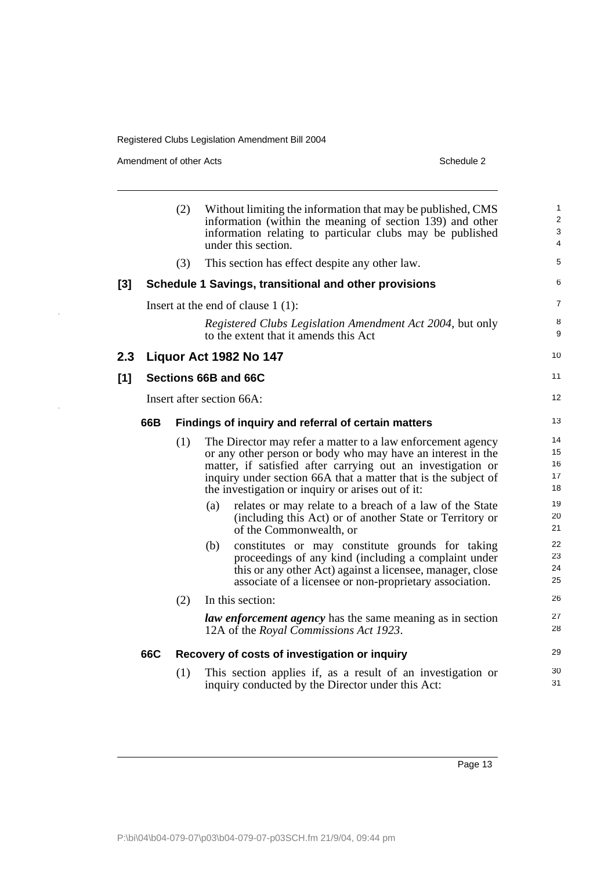Amendment of other Acts Schedule 2

 $\frac{1}{\sqrt{2}}$ 

|     |     | (2) | Without limiting the information that may be published, CMS<br>information (within the meaning of section 139) and other<br>information relating to particular clubs may be published<br>under this section.                                                                                                     | 1<br>$\overline{2}$<br>$\sqrt{3}$<br>4 |
|-----|-----|-----|------------------------------------------------------------------------------------------------------------------------------------------------------------------------------------------------------------------------------------------------------------------------------------------------------------------|----------------------------------------|
|     |     | (3) | This section has effect despite any other law.                                                                                                                                                                                                                                                                   | 5                                      |
| [3] |     |     | Schedule 1 Savings, transitional and other provisions                                                                                                                                                                                                                                                            | 6                                      |
|     |     |     | Insert at the end of clause $1(1)$ :                                                                                                                                                                                                                                                                             | $\overline{7}$                         |
|     |     |     | Registered Clubs Legislation Amendment Act 2004, but only<br>to the extent that it amends this Act                                                                                                                                                                                                               | 8<br>9                                 |
| 2.3 |     |     | Liquor Act 1982 No 147                                                                                                                                                                                                                                                                                           | 10                                     |
| [1] |     |     | Sections 66B and 66C                                                                                                                                                                                                                                                                                             | 11                                     |
|     |     |     | Insert after section 66A:                                                                                                                                                                                                                                                                                        | 12                                     |
|     | 66B |     | Findings of inquiry and referral of certain matters                                                                                                                                                                                                                                                              | 13                                     |
|     |     | (1) | The Director may refer a matter to a law enforcement agency<br>or any other person or body who may have an interest in the<br>matter, if satisfied after carrying out an investigation or<br>inquiry under section 66A that a matter that is the subject of<br>the investigation or inquiry or arises out of it: | 14<br>15<br>16<br>17<br>18             |
|     |     |     | relates or may relate to a breach of a law of the State<br>(a)<br>(including this Act) or of another State or Territory or<br>of the Commonwealth, or                                                                                                                                                            | 19<br>20<br>21                         |
|     |     |     | constitutes or may constitute grounds for taking<br>(b)<br>proceedings of any kind (including a complaint under<br>this or any other Act) against a licensee, manager, close<br>associate of a licensee or non-proprietary association.                                                                          | 22<br>23<br>24<br>25                   |
|     |     | (2) | In this section:                                                                                                                                                                                                                                                                                                 | 26                                     |
|     |     |     | <i>law enforcement agency</i> has the same meaning as in section<br>12A of the Royal Commissions Act 1923.                                                                                                                                                                                                       | 27<br>28                               |
|     | 66C |     | Recovery of costs of investigation or inquiry                                                                                                                                                                                                                                                                    | 29                                     |
|     |     | (1) | This section applies if, as a result of an investigation or<br>inquiry conducted by the Director under this Act:                                                                                                                                                                                                 | 30<br>31                               |
|     |     |     |                                                                                                                                                                                                                                                                                                                  |                                        |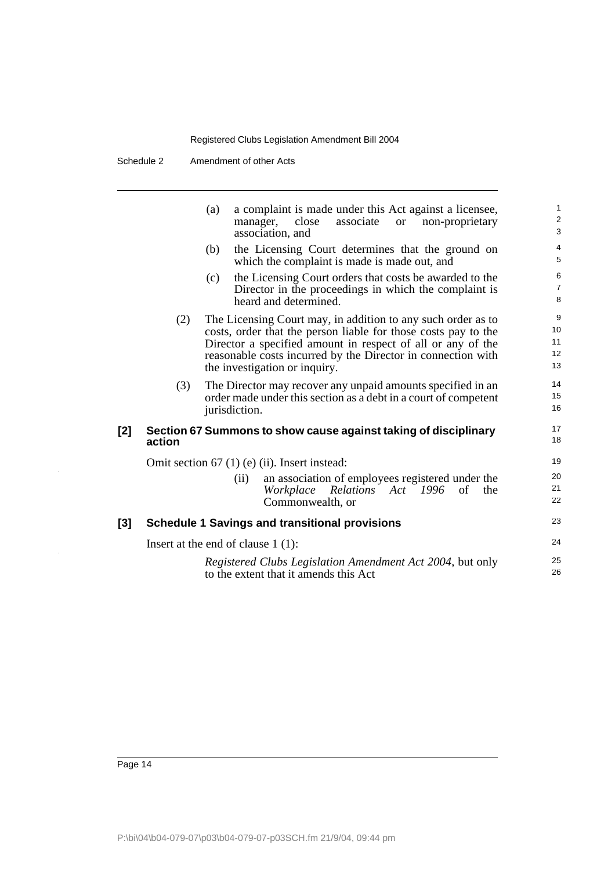Schedule 2 Amendment of other Acts

|     |        | a complaint is made under this Act against a licensee,<br>(a)<br>associate<br>manager,<br>close<br>non-proprietary<br><sub>or</sub><br>association, and                                                                                                                                        | $\mathbf{1}$<br>$\overline{\mathbf{c}}$<br>3 |
|-----|--------|------------------------------------------------------------------------------------------------------------------------------------------------------------------------------------------------------------------------------------------------------------------------------------------------|----------------------------------------------|
|     |        | (b)<br>the Licensing Court determines that the ground on<br>which the complaint is made is made out, and                                                                                                                                                                                       | $\overline{4}$<br>5                          |
|     |        | the Licensing Court orders that costs be awarded to the<br>(c)<br>Director in the proceedings in which the complaint is<br>heard and determined.                                                                                                                                               | $\boldsymbol{6}$<br>$\overline{7}$<br>8      |
|     | (2)    | The Licensing Court may, in addition to any such order as to<br>costs, order that the person liable for those costs pay to the<br>Director a specified amount in respect of all or any of the<br>reasonable costs incurred by the Director in connection with<br>the investigation or inquiry. | 9<br>10<br>11<br>12<br>13                    |
|     | (3)    | The Director may recover any unpaid amounts specified in an<br>order made under this section as a debt in a court of competent<br>jurisdiction.                                                                                                                                                | 14<br>15<br>16                               |
| [2] | action | Section 67 Summons to show cause against taking of disciplinary                                                                                                                                                                                                                                | 17<br>18                                     |
|     |        | Omit section $67$ (1) (e) (ii). Insert instead:                                                                                                                                                                                                                                                | 19                                           |
|     |        | an association of employees registered under the<br>(ii)<br>Workplace Relations Act 1996<br>of<br>the<br>Commonwealth, or                                                                                                                                                                      | 20<br>21<br>22                               |
| [3] |        | <b>Schedule 1 Savings and transitional provisions</b>                                                                                                                                                                                                                                          | 23                                           |
|     |        | Insert at the end of clause $1(1)$ :                                                                                                                                                                                                                                                           | 24                                           |
|     |        | Registered Clubs Legislation Amendment Act 2004, but only<br>to the extent that it amends this Act                                                                                                                                                                                             | 25<br>26                                     |

 $\bar{z}$